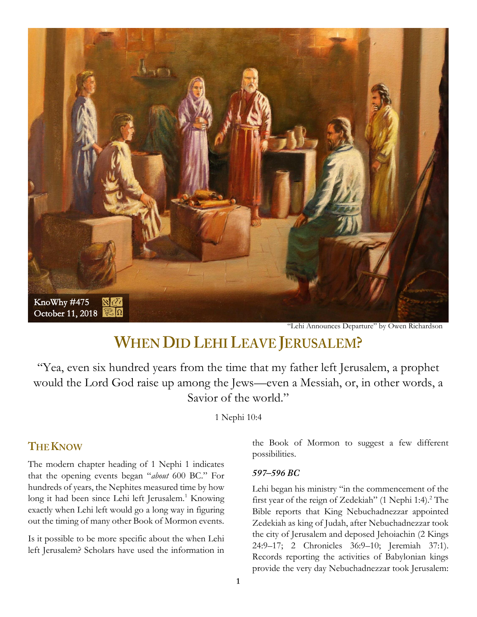

"Lehi Announces Departure" by Owen Richardson

# **WHEN DID LEHI LEAVE JERUSALEM?**

"Yea, even six hundred years from the time that my father left Jerusalem, a prophet would the Lord God raise up among the Jews—even a Messiah, or, in other words, a Savior of the world."

1 Nephi 10:4

# **THE KNOW**

The modern chapter heading of 1 Nephi 1 indicates that the opening events began "*about* 600 BC." For hundreds of years, the Nephites measured time by how long it had been since Lehi left Jerusalem.<sup>1</sup> Knowing exactly when Lehi left would go a long way in figuring out the timing of many other Book of Mormon events.

Is it possible to be more specific about the when Lehi left Jerusalem? Scholars have used the information in the Book of Mormon to suggest a few different possibilities.

#### 597-596 BC

Lehi began his ministry "in the commencement of the first year of the reign of Zedekiah" (1 Nephi 1:4).<sup>2</sup> The Bible reports that King Nebuchadnezzar appointed Zedekiah as king of Judah, after Nebuchadnezzar took the city of Jerusalem and deposed Jehoiachin (2 Kings 24:9–17; 2 Chronicles 36:9–10; Jeremiah 37:1). Records reporting the activities of Babylonian kings provide the very day Nebuchadnezzar took Jerusalem: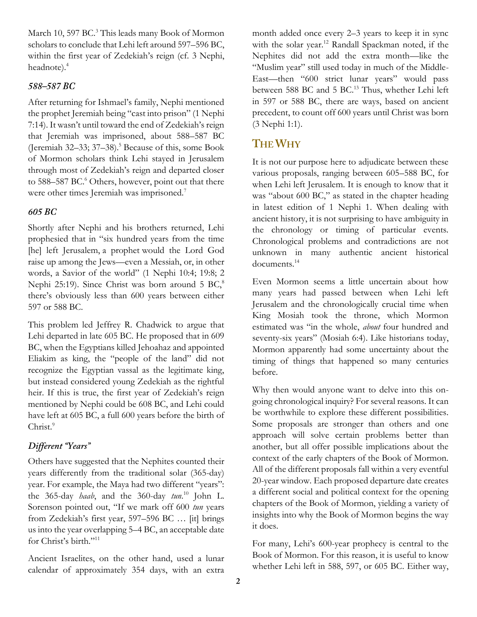March 10, 597 BC.<sup>3</sup> This leads many Book of Mormon scholars to conclude that Lehi left around 597–596 BC, within the first year of Zedekiah's reign (cf. 3 Nephi, headnote).<sup>4</sup>

#### 588-587 BC

After returning for Ishmael's family, Nephi mentioned the prophet Jeremiah being "cast into prison" (1 Nephi 7:14). It wasn't until toward the end of Zedekiah's reign that Jeremiah was imprisoned, about 588–587 BC (Jeremiah 32–33; 37–38).<sup>5</sup> Because of this, some Book of Mormon scholars think Lehi stayed in Jerusalem through most of Zedekiah's reign and departed closer to 588–587 BC.<sup>6</sup> Others, however, point out that there were other times Jeremiah was imprisoned.<sup>7</sup>

#### 605 BC

Shortly after Nephi and his brothers returned, Lehi prophesied that in "six hundred years from the time [he] left Jerusalem, a prophet would the Lord God raise up among the Jews—even a Messiah, or, in other words, a Savior of the world" (1 Nephi 10:4; 19:8; 2 Nephi 25:19). Since Christ was born around 5 BC,<sup>8</sup> there's obviously less than 600 years between either 597 or 588 BC.

This problem led Jeffrey R. Chadwick to argue that Lehi departed in late 605 BC. He proposed that in 609 BC, when the Egyptians killed Jehoahaz and appointed Eliakim as king, the "people of the land" did not recognize the Egyptian vassal as the legitimate king, but instead considered young Zedekiah as the rightful heir. If this is true, the first year of Zedekiah's reign mentioned by Nephi could be 608 BC, and Lehi could have left at 605 BC, a full 600 years before the birth of Christ.<sup>9</sup>

## Different "Years"

Others have suggested that the Nephites counted their years differently from the traditional solar (365-day) year. For example, the Maya had two different "years": the 365-day *haab*, and the 360-day *tun*. <sup>10</sup> John L. Sorenson pointed out, "If we mark off 600 *tun* years from Zedekiah's first year, 597–596 BC … [it] brings us into the year overlapping 5–4 BC, an acceptable date for Christ's birth."<sup>11</sup>

Ancient Israelites, on the other hand, used a lunar calendar of approximately 354 days, with an extra month added once every 2–3 years to keep it in sync with the solar year.<sup>12</sup> Randall Spackman noted, if the Nephites did not add the extra month—like the "Muslim year" still used today in much of the Middle-East—then "600 strict lunar years" would pass between 588 BC and 5 BC.<sup>13</sup> Thus, whether Lehi left in 597 or 588 BC, there are ways, based on ancient precedent, to count off 600 years until Christ was born (3 Nephi 1:1).

# **THE WHY**

It is not our purpose here to adjudicate between these various proposals, ranging between 605–588 BC, for when Lehi left Jerusalem. It is enough to know that it was "about 600 BC," as stated in the chapter heading in latest edition of 1 Nephi 1. When dealing with ancient history, it is not surprising to have ambiguity in the chronology or timing of particular events. Chronological problems and contradictions are not unknown in many authentic ancient historical documents.<sup>14</sup>

Even Mormon seems a little uncertain about how many years had passed between when Lehi left Jerusalem and the chronologically crucial time when King Mosiah took the throne, which Mormon estimated was "in the whole, *about* four hundred and seventy-six years" (Mosiah 6:4). Like historians today, Mormon apparently had some uncertainty about the timing of things that happened so many centuries before.

Why then would anyone want to delve into this ongoing chronological inquiry? For several reasons. It can be worthwhile to explore these different possibilities. Some proposals are stronger than others and one approach will solve certain problems better than another, but all offer possible implications about the context of the early chapters of the Book of Mormon. All of the different proposals fall within a very eventful 20-year window. Each proposed departure date creates a different social and political context for the opening chapters of the Book of Mormon, yielding a variety of insights into why the Book of Mormon begins the way it does.

For many, Lehi's 600-year prophecy is central to the Book of Mormon. For this reason, it is useful to know whether Lehi left in 588, 597, or 605 BC. Either way,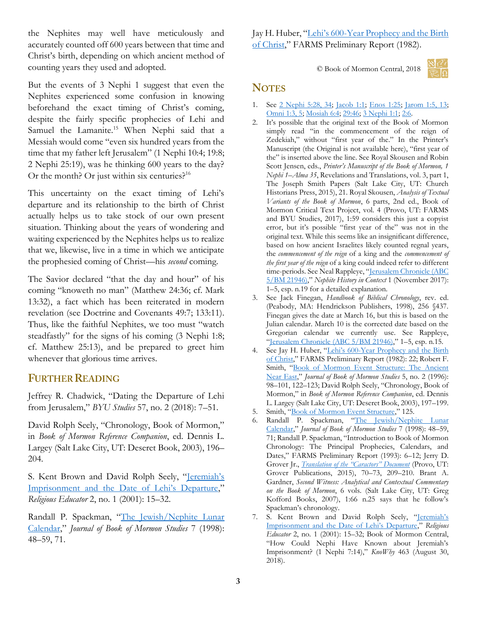the Nephites may well have meticulously and accurately counted off 600 years between that time and Christ's birth, depending on which ancient method of counting years they used and adopted.

But the events of 3 Nephi 1 suggest that even the Nephites experienced some confusion in knowing beforehand the exact timing of Christ's coming, despite the fairly specific prophecies of Lehi and Samuel the Lamanite.<sup>15</sup> When Nephi said that a Messiah would come "even six hundred years from the time that my father left Jerusalem" (1 Nephi 10:4; 19:8; 2 Nephi 25:19), was he thinking 600 years to the day? Or the month? Or just within six centuries? $16$ 

This uncertainty on the exact timing of Lehi's departure and its relationship to the birth of Christ actually helps us to take stock of our own present situation. Thinking about the years of wondering and waiting experienced by the Nephites helps us to realize that we, likewise, live in a time in which we anticipate the prophesied coming of Christ—his *second* coming.

The Savior declared "that the day and hour" of his coming "knoweth no man" (Matthew 24:36; cf. Mark 13:32), a fact which has been reiterated in modern revelation (see Doctrine and Covenants 49:7; 133:11). Thus, like the faithful Nephites, we too must "watch steadfastly" for the signs of his coming (3 Nephi 1:8; cf. Matthew 25:13), and be prepared to greet him whenever that glorious time arrives.

## **FURTHER READING**

Jeffrey R. Chadwick, "Dating the Departure of Lehi from Jerusalem," *BYU Studies* 57, no. 2 (2018): 7–51.

David Rolph Seely, "Chronology, Book of Mormon," in *Book of Mormon Reference Companion*, ed. Dennis L. Largey (Salt Lake City, UT: Deseret Book, 2003), 196– 204.

S. Kent Brown and David Rolph Seely, "Jeremiah's [Imprisonment and the Date of Lehi's Departure,](https://archive.bookofmormoncentral.org/content/jeremiahs-imprisonment-and-date-lehis-departure)" *Religious Educator* 2, no. 1 (2001): 15–32.

Randall P. Spackman, "[The Jewish/Nephite Lunar](https://archive.bookofmormoncentral.org/content/jewishnephite-lunar-calendar)  [Calendar](https://archive.bookofmormoncentral.org/content/jewishnephite-lunar-calendar)," *Journal of Book of Mormon Studies* 7 (1998): 48–59, 71.

Jay H. Huber, "Lehi's 600[-Year Prophecy and the Birth](https://publications.mi.byu.edu/publications/PreliminaryReports/Set%203/Prelim%20Rep/Huber,%20Lehis%20600%20Year%20Prophecy%20and%20the%20Birth%20of%20Christ,%201982.pdf)  [of Christ](https://publications.mi.byu.edu/publications/PreliminaryReports/Set%203/Prelim%20Rep/Huber,%20Lehis%20600%20Year%20Prophecy%20and%20the%20Birth%20of%20Christ,%201982.pdf)," FARMS Preliminary Report (1982).

© Book of Mormon Central, 2018



## **NOTES**

- 1. See [2 Nephi 5:28, 34;](https://www.lds.org/scriptures/bofm/2-ne/5.28,34?lang=eng#p27) [Jacob 1:1;](https://www.lds.org/scriptures/bofm/jacob/1.1?lang=eng#primary) [Enos 1:25;](https://www.lds.org/scriptures/bofm/enos/1.25?lang=eng#p24) [Jarom 1:5, 13;](https://www.lds.org/scriptures/bofm/jarom/1.5,13?lang=eng#p4) [Omni 1:3, 5;](https://www.lds.org/scriptures/bofm/omni/1.3,5?lang=eng#p2) [Mosiah 6:4;](https://www.lds.org/scriptures/bofm/mosiah/6.4?lang=eng#p3) [29:46;](https://www.lds.org/scriptures/bofm/mosiah/29.46?lang=eng#p45) [3 Nephi 1:1;](https://www.lds.org/scriptures/bofm/3-ne/1.1?lang=eng#primary) [2:6.](https://www.lds.org/scriptures/bofm/3-ne/2.6?lang=eng#p5)
- 2. It's possible that the original text of the Book of Mormon simply read "in the commencement of the reign of Zedekiah," without "first year of the." In the Printer's Manuscript (the Original is not available here), "first year of the" is inserted above the line. See Royal Skousen and Robin Scott Jensen, eds., *Printer's Manuscript of the Book of Mormon, 1 Nephi 1–Alma 35*, Revelations and Translations, vol. 3, part 1, The Joseph Smith Papers (Salt Lake City, UT: Church Historians Press, 2015), 21. Royal Skousen, *Analysis of Textual Variants of the Book of Mormon*, 6 parts, 2nd ed., Book of Mormon Critical Text Project, vol. 4 (Provo, UT: FARMS and BYU Studies, 2017), 1:59 considers this just a copyist error, but it's possible "first year of the" was not in the original text. While this seems like an insignificant difference, based on how ancient Israelites likely counted regnal years, the *commencement of the reign* of a king and the *commencement of the first year of the reign* of a king could indeed refer to different time-periods. See Neal Rappleye, "Jerusalem Chronicle (ABC [5/BM 21946\)](https://archive.bookofmormoncentral.org/content/nephite-history-context-1-jerusalem-chronicle)," *Nephite History in Context* 1 (November 2017): 1–5, esp. n.19 for a detailed explanation.
- 3. See Jack Finegan, *Handbook of Biblical Chronology*, rev. ed. (Peabody, MA: Hendrickson Publishers, 1998), 256 §437. Finegan gives the date at March 16, but this is based on the Julian calendar. March 10 is the corrected date based on the Gregorian calendar we currently use. See Rappleye, "[Jerusalem Chronicle \(ABC 5/BM 21946\)](https://archive.bookofmormoncentral.org/content/nephite-history-context-1-jerusalem-chronicle)," 1–5, esp. n.15.
- 4. See Jay H. Huber, "Lehi's 600-Year Prophecy and the Birth [of Christ](https://publications.mi.byu.edu/publications/PreliminaryReports/Set%203/Prelim%20Rep/Huber,%20Lehis%20600%20Year%20Prophecy%20and%20the%20Birth%20of%20Christ,%201982.pdf)," FARMS Preliminary Report (1982): 22; Robert F. Smith, "[Book of Mormon Event Structure: The Ancient](https://archive.bookofmormoncentral.org/content/book-mormon-event-structure-ancient-near-east)  [Near East](https://archive.bookofmormoncentral.org/content/book-mormon-event-structure-ancient-near-east)," *Journal of Book of Mormon Studies* 5, no. 2 (1996): 98–101, 122–123; David Rolph Seely, "Chronology, Book of Mormon," in *Book of Mormon Reference Companion*, ed. Dennis L. Largey (Salt Lake City, UT: Deseret Book, 2003), 197–199.
- 5. Smith, "[Book of Mormon Event Structure](https://archive.bookofmormoncentral.org/content/book-mormon-event-structure-ancient-near-east)," 125.
- 6. Randall P. Spackman, "[The Jewish/Nephite Lunar](https://archive.bookofmormoncentral.org/content/jewishnephite-lunar-calendar)  [Calendar](https://archive.bookofmormoncentral.org/content/jewishnephite-lunar-calendar)," *Journal of Book of Mormon Studies* 7 (1998): 48–59, 71; Randall P. Spackman, "Introduction to Book of Mormon Chronology: The Principal Prophecies, Calendars, and Dates," FARMS Preliminary Report (1993): 6–12; Jerry D. Grover Jr., *[Translation of the "Caractors" Document](https://archive.bookofmormoncentral.org/content/translation-%E2%80%9Ccaractors%E2%80%9D-document)* (Provo, UT: Grover Publications, 2015), 70–73, 209–210. Brant A. Gardner, *Second Witness: Analytical and Contextual Commentary on the Book of Mormon*, 6 vols. (Salt Lake City, UT: Greg Kofford Books, 2007), 1:66 n.25 says that he follow's Spackman's chronology.
- 7. S. Kent Brown and David Rolph Seely, "Jeremiah's [Imprisonment and the Date of Lehi's Departure,](https://archive.bookofmormoncentral.org/content/jeremiahs-imprisonment-and-date-lehis-departure)" *Religious Educator* 2, no. 1 (2001): 15–32; Book of Mormon Central, "How Could Nephi Have Known about Jeremiah's Imprisonment? (1 Nephi 7:14)," *KnoWhy* 463 (August 30, 2018).